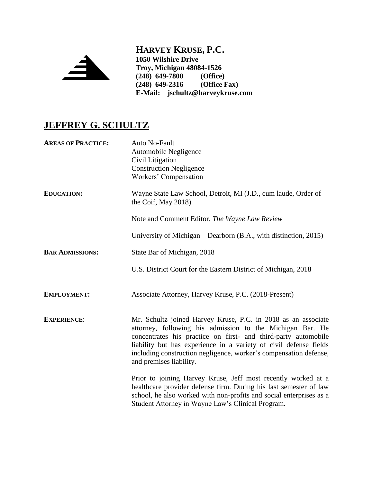

**HARVEY KRUSE, P.C. 1050 Wilshire Drive Troy, Michigan 48084-1526 (248) 649-7800 (Office) (248) 649-2316 E-Mail: jschultz@harveykruse.com**

## **JEFFREY G. SCHULTZ**

| <b>AREAS OF PRACTICE:</b> | Auto No-Fault<br>Automobile Negligence<br>Civil Litigation<br><b>Construction Negligence</b><br>Workers' Compensation                                                                                                                                                                                                                                             |
|---------------------------|-------------------------------------------------------------------------------------------------------------------------------------------------------------------------------------------------------------------------------------------------------------------------------------------------------------------------------------------------------------------|
| <b>EDUCATION:</b>         | Wayne State Law School, Detroit, MI (J.D., cum laude, Order of<br>the Coif, May 2018)                                                                                                                                                                                                                                                                             |
|                           | Note and Comment Editor, The Wayne Law Review                                                                                                                                                                                                                                                                                                                     |
|                           | University of Michigan – Dearborn (B.A., with distinction, 2015)                                                                                                                                                                                                                                                                                                  |
| <b>BAR ADMISSIONS:</b>    | State Bar of Michigan, 2018                                                                                                                                                                                                                                                                                                                                       |
|                           | U.S. District Court for the Eastern District of Michigan, 2018                                                                                                                                                                                                                                                                                                    |
| <b>EMPLOYMENT:</b>        | Associate Attorney, Harvey Kruse, P.C. (2018-Present)                                                                                                                                                                                                                                                                                                             |
| <b>EXPERIENCE:</b>        | Mr. Schultz joined Harvey Kruse, P.C. in 2018 as an associate<br>attorney, following his admission to the Michigan Bar. He<br>concentrates his practice on first- and third-party automobile<br>liability but has experience in a variety of civil defense fields<br>including construction negligence, worker's compensation defense,<br>and premises liability. |
|                           | Prior to joining Harvey Kruse, Jeff most recently worked at a<br>healthcare provider defense firm. During his last semester of law<br>school, he also worked with non-profits and social enterprises as a<br>Student Attorney in Wayne Law's Clinical Program.                                                                                                    |